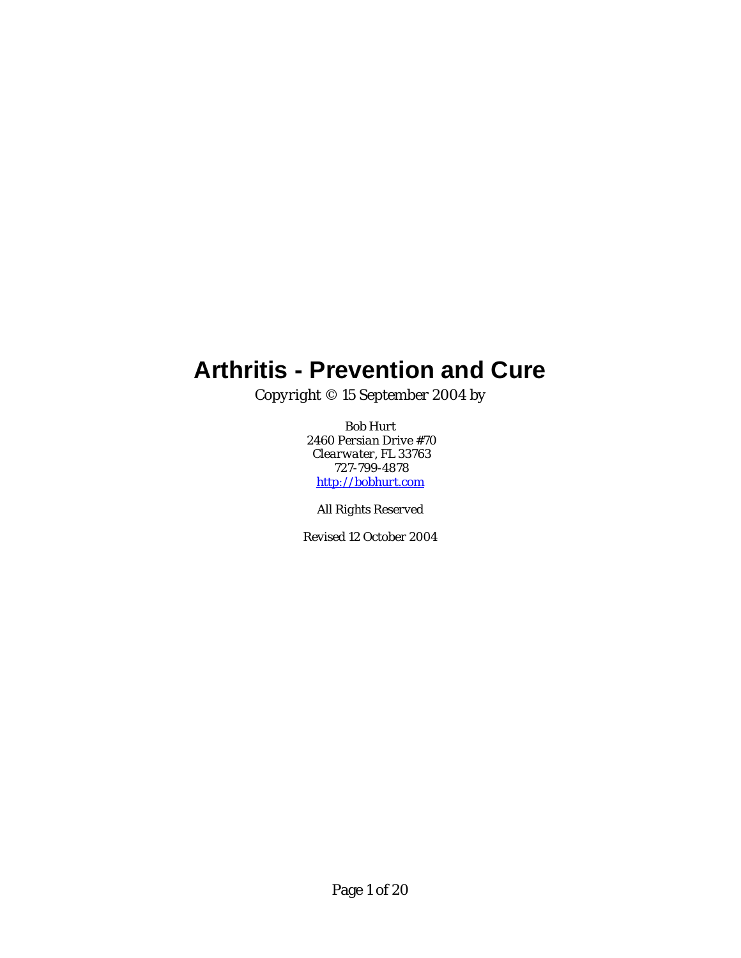# <span id="page-0-0"></span>**Arthritis - Prevention and Cure**

*Copyright © 15 September 2004 by* 

*Bob Hurt 2460 Persian Drive #70 Clearwater, FL 33763 727-799-4878 [http://bobhurt.com](http://bobhurt.com/)*

*All Rights Reserved* 

*Revised 12 October 2004*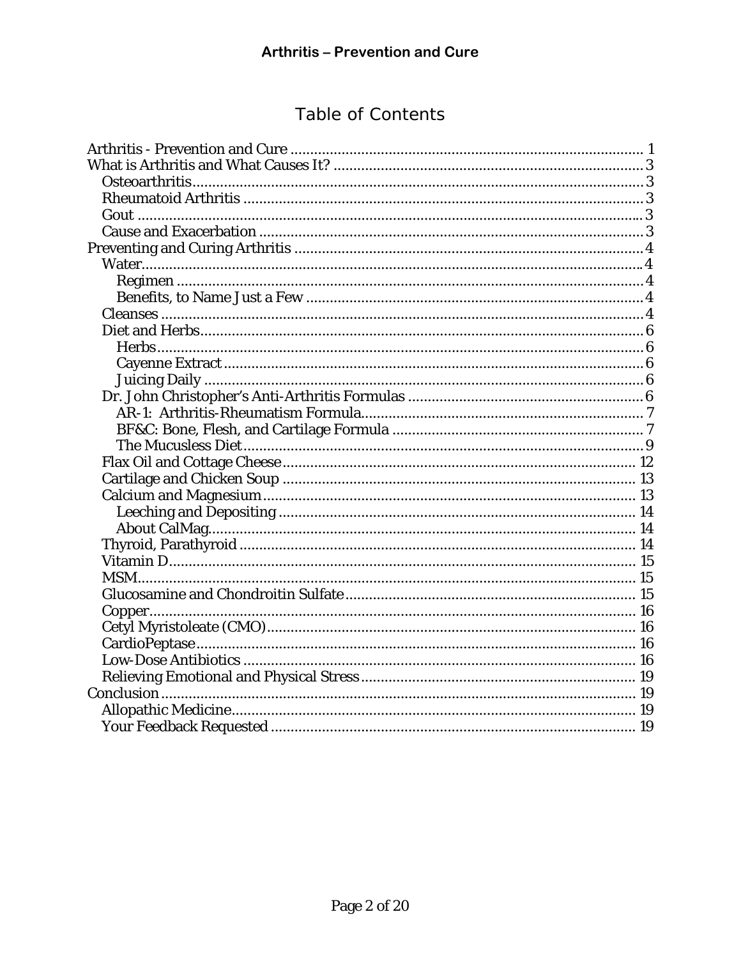## Table of Contents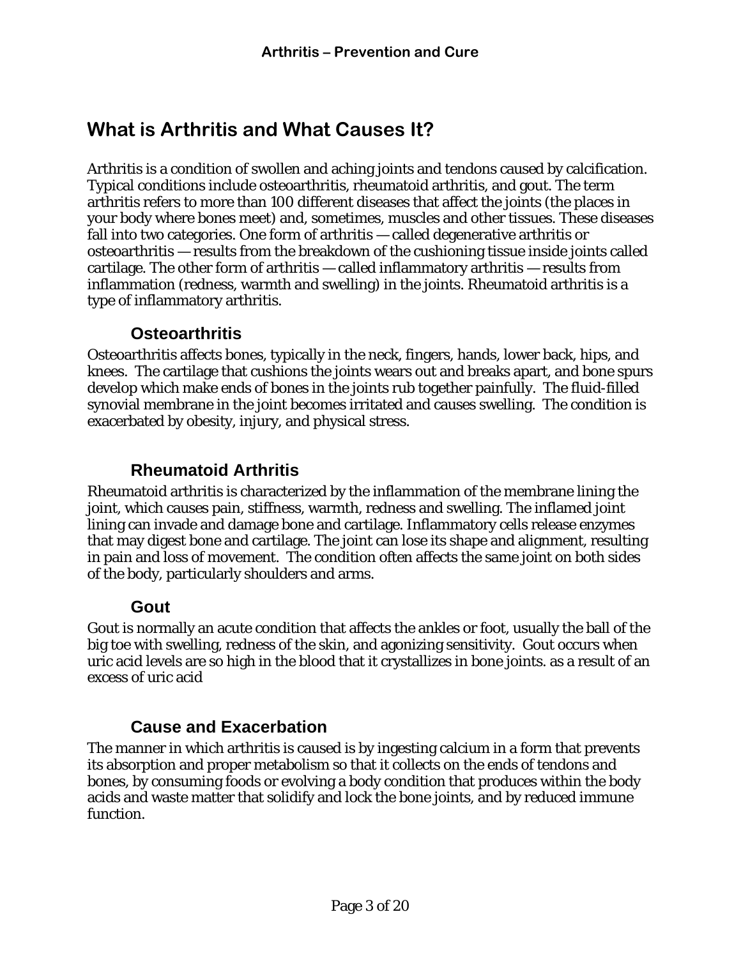## <span id="page-2-0"></span>**What is Arthritis and What Causes It?**

Arthritis is a condition of swollen and aching joints and tendons caused by calcification. Typical conditions include osteoarthritis, rheumatoid arthritis, and gout. The term arthritis refers to more than 100 different diseases that affect the joints (the places in your body where bones meet) and, sometimes, muscles and other tissues. These diseases fall into two categories. One form of arthritis — called degenerative arthritis or osteoarthritis — results from the breakdown of the cushioning tissue inside joints called cartilage. The other form of arthritis — called inflammatory arthritis — results from inflammation (redness, warmth and swelling) in the joints. Rheumatoid arthritis is a type of inflammatory arthritis.

### **Osteoarthritis**

Osteoarthritis affects bones, typically in the neck, fingers, hands, lower back, hips, and knees. The cartilage that cushions the joints wears out and breaks apart, and bone spurs develop which make ends of bones in the joints rub together painfully. The fluid-filled synovial membrane in the joint becomes irritated and causes swelling. The condition is exacerbated by obesity, injury, and physical stress.

### **Rheumatoid Arthritis**

Rheumatoid arthritis is characterized by the inflammation of the membrane lining the joint, which causes pain, stiffness, warmth, redness and swelling. The inflamed joint lining can invade and damage bone and cartilage. Inflammatory cells release enzymes that may digest bone and cartilage. The joint can lose its shape and alignment, resulting in pain and loss of movement. The condition often affects the same joint on both sides of the body, particularly shoulders and arms.

#### **Gout**

Gout is normally an acute condition that affects the ankles or foot, usually the ball of the big toe with swelling, redness of the skin, and agonizing sensitivity. Gout occurs when uric acid levels are so high in the blood that it crystallizes in bone joints. as a result of an excess of uric acid

### **Cause and Exacerbation**

The manner in which arthritis is caused is by ingesting calcium in a form that prevents its absorption and proper metabolism so that it collects on the ends of tendons and bones, by consuming foods or evolving a body condition that produces within the body acids and waste matter that solidify and lock the bone joints, and by reduced immune function.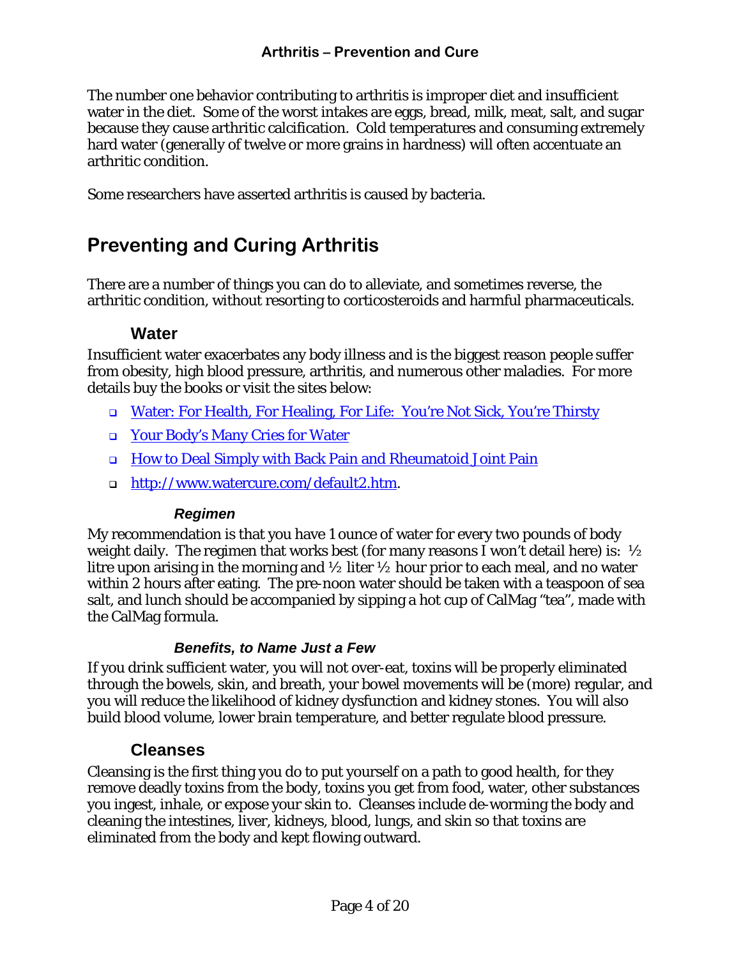<span id="page-3-0"></span>The number one behavior contributing to arthritis is improper diet and insufficient water in the diet. Some of the worst intakes are eggs, bread, milk, meat, salt, and sugar because they cause arthritic calcification. Cold temperatures and consuming extremely hard water (generally of twelve or more grains in hardness) will often accentuate an arthritic condition.

Some researchers have asserted arthritis is caused by bacteria.

## **Preventing and Curing Arthritis**

There are a number of things you can do to alleviate, and sometimes reverse, the arthritic condition, without resorting to corticosteroids and harmful pharmaceuticals.

#### **Water**

Insufficient water exacerbates any body illness and is the biggest reason people suffer from obesity, high blood pressure, arthritis, and numerous other maladies. For more details buy the books or visit the sites below:

- [Water: For Health, For Healing, For Life: You're Not Sick, You're Thirsty](http://www.amazon.com/exec/obidos/ASIN/0446690740/ref%3Dnosim/booknu3-20/002-2688069-7899232)
- [Your Body's Many Cries for Water](http://www.amazon.com/exec/obidos/tg/detail/-/0962994235/002-2688069-7899232?v=glance)
- [How to Deal Simply with Back Pain and Rheumatoid Joint Pain](http://www.amazon.com/exec/obidos/tg/detail/-/0962994200/ref=pd_sim_books_1/002-2688069-7899232?v=glance&s=books)
- □ [http://www.watercure.com/default2.htm.](http://www.watercure.com/default2.htm)

#### *Regimen*

My recommendation is that you have 1 ounce of water for every two pounds of body weight daily. The regimen that works best (for many reasons I won't detail here) is:  $\frac{1}{2}$ litre upon arising in the morning and  $\frac{1}{2}$  liter  $\frac{1}{2}$  hour prior to each meal, and no water within 2 hours after eating. The pre-noon water should be taken with a teaspoon of sea salt, and lunch should be accompanied by sipping a hot cup of CalMag "tea", made with the CalMag formula.

#### *Benefits, to Name Just a Few*

If you drink sufficient water, you will not over-eat, toxins will be properly eliminated through the bowels, skin, and breath, your bowel movements will be (more) regular, and you will reduce the likelihood of kidney dysfunction and kidney stones. You will also build blood volume, lower brain temperature, and better regulate blood pressure.

#### **Cleanses**

Cleansing is the first thing you do to put yourself on a path to good health, for they remove deadly toxins from the body, toxins you get from food, water, other substances you ingest, inhale, or expose your skin to. Cleanses include de-worming the body and cleaning the intestines, liver, kidneys, blood, lungs, and skin so that toxins are eliminated from the body and kept flowing outward.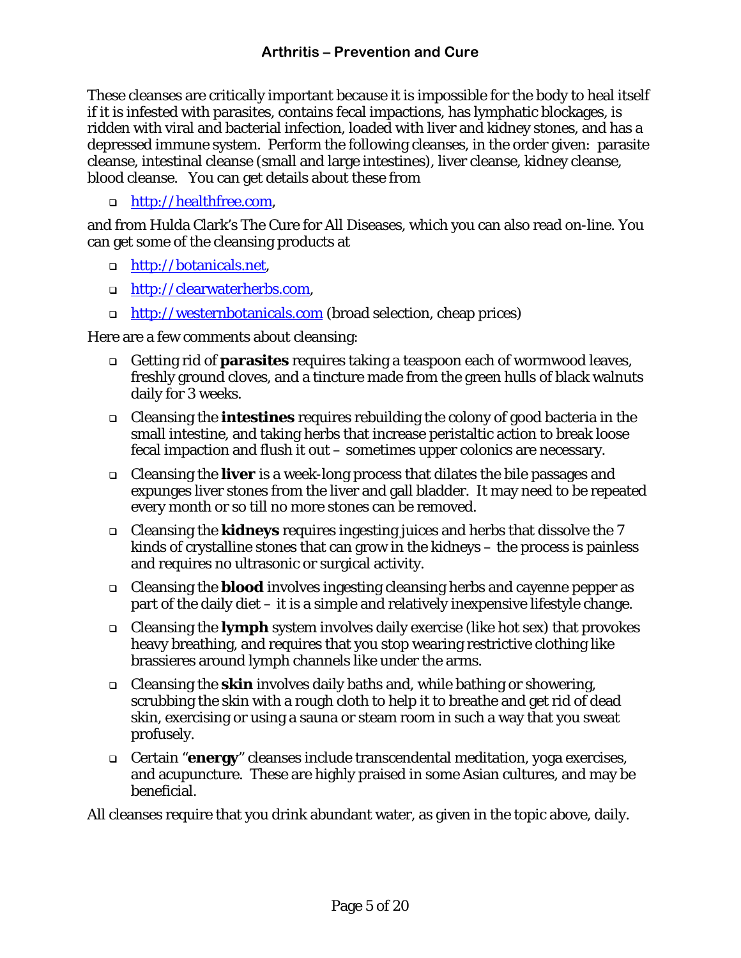These cleanses are critically important because it is impossible for the body to heal itself if it is infested with parasites, contains fecal impactions, has lymphatic blockages, is ridden with viral and bacterial infection, loaded with liver and kidney stones, and has a depressed immune system. Perform the following cleanses, in the order given: parasite cleanse, intestinal cleanse (small and large intestines), liver cleanse, kidney cleanse, blood cleanse. You can get details about these from

□ [http://healthfree.com,](http://healthfree.com/)

and from Hulda Clark's [The Cure for All Diseases,](http://www.amazon.com/exec/obidos/ASIN/1890035017/002-2688069-7899232) which you can also [read on-line.](http://www.curezone.com/books/book_the_cure_for_all_diseases.html) You can get some of the cleansing products at

- □ [http://botanicals.net](http://botanicals.net/),
- [http://clearwaterherbs.com,](http://clearwaterherbs.com/)
- **http://westernbotanicals.com** (broad selection, cheap prices)

Here are a few comments about cleansing:

- Getting rid of **parasites** requires taking a teaspoon each of wormwood leaves, freshly ground cloves, and a tincture made from the green hulls of black walnuts daily for 3 weeks.
- Cleansing the **intestines** requires rebuilding the colony of good bacteria in the small intestine, and taking herbs that increase peristaltic action to break loose fecal impaction and flush it out – sometimes upper colonics are necessary.
- Cleansing the **liver** is a week-long process that dilates the bile passages and expunges liver stones from the liver and gall bladder. It may need to be repeated every month or so till no more stones can be removed.
- Cleansing the **kidneys** requires ingesting juices and herbs that dissolve the 7 kinds of crystalline stones that can grow in the kidneys – the process is painless and requires no ultrasonic or surgical activity.
- Cleansing the **blood** involves ingesting cleansing herbs and cayenne pepper as part of the daily diet – it is a simple and relatively inexpensive lifestyle change.
- Cleansing the **lymph** system involves daily exercise (like hot sex) that provokes heavy breathing, and requires that you stop wearing restrictive clothing like brassieres around lymph channels like under the arms.
- Cleansing the **skin** involves daily baths and, while bathing or showering, scrubbing the skin with a rough cloth to help it to breathe and get rid of dead skin, exercising or using a sauna or steam room in such a way that you sweat profusely.
- Certain "**energy**" cleanses include transcendental meditation, yoga exercises, and acupuncture. These are highly praised in some Asian cultures, and may be beneficial.

All cleanses require that you drink abundant water, as given in the topic above, daily.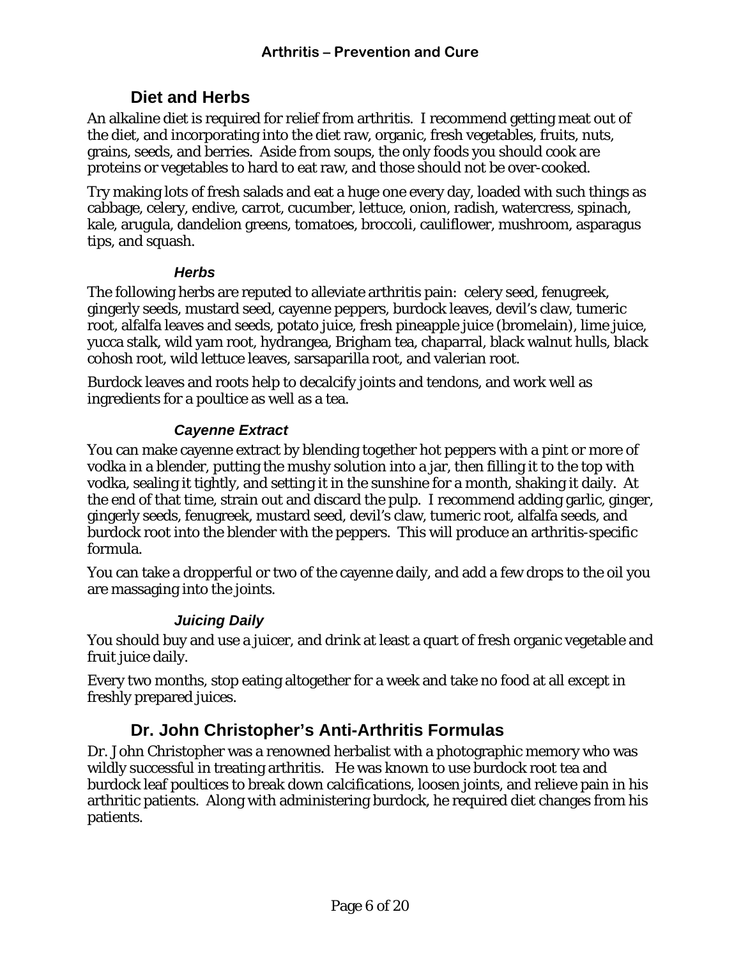### **Diet and Herbs**

<span id="page-5-0"></span>An alkaline diet is required for relief from arthritis. I recommend getting meat out of the diet, and incorporating into the diet raw, organic, fresh vegetables, fruits, nuts, grains, seeds, and berries. Aside from soups, the only foods you should cook are proteins or vegetables to hard to eat raw, and those should not be over-cooked.

Try making lots of fresh salads and eat a huge one every day, loaded with such things as cabbage, celery, endive, carrot, cucumber, lettuce, onion, radish, watercress, spinach, kale, arugula, dandelion greens, tomatoes, broccoli, cauliflower, mushroom, asparagus tips, and squash.

#### *Herbs*

The following herbs are reputed to alleviate arthritis pain: celery seed, fenugreek, gingerly seeds, mustard seed, cayenne peppers, burdock leaves, devil's claw, tumeric root, alfalfa leaves and seeds, potato juice, fresh pineapple juice (bromelain), lime juice, yucca stalk, wild yam root, hydrangea, Brigham tea, chaparral, black walnut hulls, black cohosh root, wild lettuce leaves, sarsaparilla root, and valerian root.

Burdock leaves and roots help to decalcify joints and tendons, and work well as ingredients for a poultice as well as a tea.

#### *Cayenne Extract*

You can make cayenne extract by blending together hot peppers with a pint or more of vodka in a blender, putting the mushy solution into a jar, then filling it to the top with vodka, sealing it tightly, and setting it in the sunshine for a month, shaking it daily. At the end of that time, strain out and discard the pulp. I recommend adding garlic, ginger, gingerly seeds, fenugreek, mustard seed, devil's claw, tumeric root, alfalfa seeds, and burdock root into the blender with the peppers. This will produce an arthritis-specific formula.

You can take a dropperful or two of the cayenne daily, and add a few drops to the oil you are massaging into the joints.

#### *Juicing Daily*

You should buy and use a juicer, and drink at least a quart of fresh organic vegetable and fruit juice daily.

Every two months, stop eating altogether for a week and take no food at all except in freshly prepared juices.

### **Dr. John Christopher's Anti-Arthritis Formulas**

Dr. John Christopher was a renowned herbalist with a photographic memory who was wildly successful in treating arthritis. He was known to use burdock root tea and burdock leaf poultices to break down calcifications, loosen joints, and relieve pain in his arthritic patients. Along with administering burdock, he required diet changes from his patients.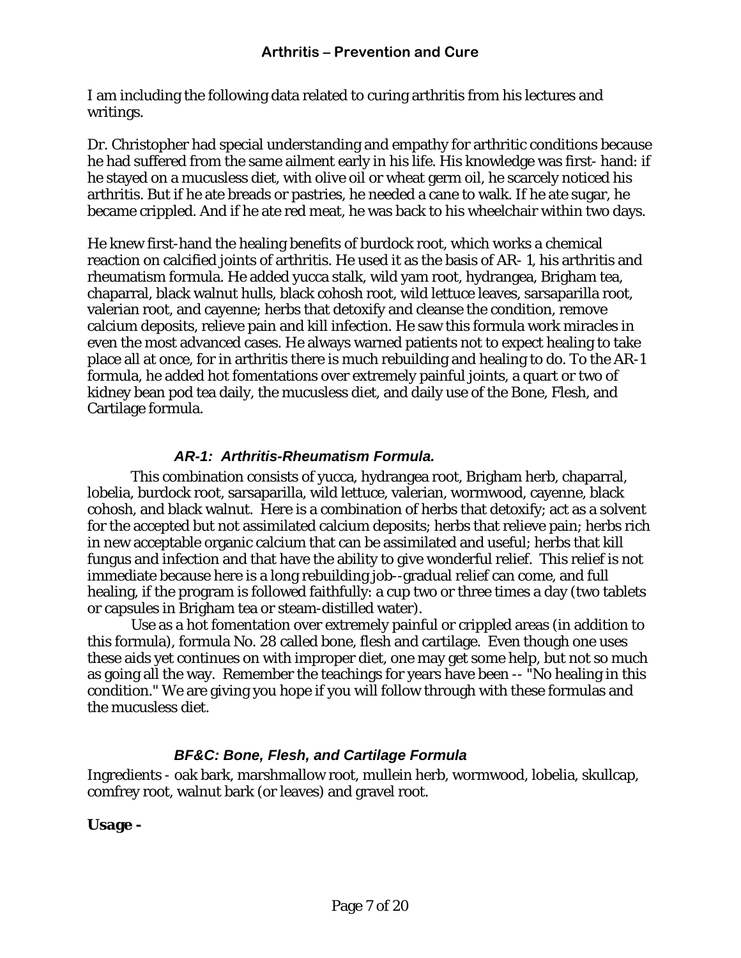<span id="page-6-0"></span>I am including the following data related to curing arthritis from his lectures and writings.

Dr. Christopher had special understanding and empathy for arthritic conditions because he had suffered from the same ailment early in his life. His knowledge was first- hand: if he stayed on a mucusless diet, with olive oil or wheat germ oil, he scarcely noticed his arthritis. But if he ate breads or pastries, he needed a cane to walk. If he ate sugar, he became crippled. And if he ate red meat, he was back to his wheelchair within two days.

He knew first-hand the healing benefits of burdock root, which works a chemical reaction on calcified joints of arthritis. He used it as the basis of AR- 1, his arthritis and rheumatism formula. He added yucca stalk, wild yam root, hydrangea, Brigham tea, chaparral, black walnut hulls, black cohosh root, wild lettuce leaves, sarsaparilla root, valerian root, and cayenne; herbs that detoxify and cleanse the condition, remove calcium deposits, relieve pain and kill infection. He saw this formula work miracles in even the most advanced cases. He always warned patients not to expect healing to take place all at once, for in arthritis there is much rebuilding and healing to do. To the AR-1 formula, he added hot fomentations over extremely painful joints, a quart or two of kidney bean pod tea daily, the mucusless diet, and daily use of the Bone, Flesh, and Cartilage formula.

#### *AR-1: Arthritis-Rheumatism Formula.*

This combination consists of yucca, hydrangea root, Brigham herb, chaparral, lobelia, burdock root, sarsaparilla, wild lettuce, valerian, wormwood, cayenne, black cohosh, and black walnut. Here is a combination of herbs that detoxify; act as a solvent for the accepted but not assimilated calcium deposits; herbs that relieve pain; herbs rich in new acceptable organic calcium that can be assimilated and useful; herbs that kill fungus and infection and that have the ability to give wonderful relief. This relief is not immediate because here is a long rebuilding job--gradual relief can come, and full healing, if the program is followed faithfully: a cup two or three times a day (two tablets or capsules in Brigham tea or steam-distilled water).

Use as a hot fomentation over extremely painful or crippled areas (in addition to this formula), formula No. 28 called bone, flesh and cartilage. Even though one uses these aids yet continues on with improper diet, one may get some help, but not so much as going all the way. Remember the teachings for years have been -- "No healing in this condition." We are giving you hope if you will follow through with these formulas and the mucusless diet.

#### *BF&C: Bone, Flesh, and Cartilage Formula*

Ingredients - oak bark, marshmallow root, mullein herb, wormwood, lobelia, skullcap, comfrey root, walnut bark (or leaves) and gravel root.

**Usage -**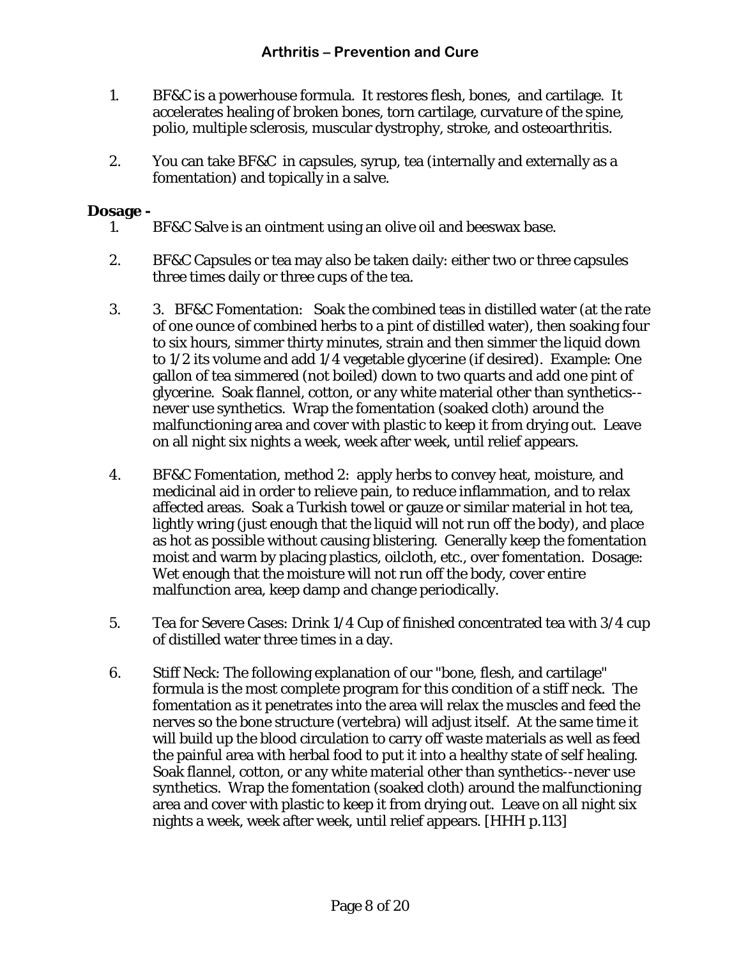- 1. BF&C is a powerhouse formula. It restores flesh, bones, and cartilage. It accelerates healing of broken bones, torn cartilage, curvature of the spine, polio, multiple sclerosis, muscular dystrophy, stroke, and osteoarthritis.
- 2. You can take BF&C in capsules, syrup, tea (internally and externally as a fomentation) and topically in a salve.

#### **Dosage -**

- 1. BF&C Salve is an ointment using an olive oil and beeswax base.
- 2. BF&C Capsules or tea may also be taken daily: either two or three capsules three times daily or three cups of the tea.
- 3. 3. BF&C Fomentation: Soak the combined teas in distilled water (at the rate of one ounce of combined herbs to a pint of distilled water), then soaking four to six hours, simmer thirty minutes, strain and then simmer the liquid down to 1/2 its volume and add 1/4 vegetable glycerine (if desired). Example: One gallon of tea simmered (not boiled) down to two quarts and add one pint of glycerine. Soak flannel, cotton, or any white material other than synthetics- never use synthetics. Wrap the fomentation (soaked cloth) around the malfunctioning area and cover with plastic to keep it from drying out. Leave on all night six nights a week, week after week, until relief appears.
- 4. BF&C Fomentation, method 2: apply herbs to convey heat, moisture, and medicinal aid in order to relieve pain, to reduce inflammation, and to relax affected areas. Soak a Turkish towel or gauze or similar material in hot tea, lightly wring (just enough that the liquid will not run off the body), and place as hot as possible without causing blistering. Generally keep the fomentation moist and warm by placing plastics, oilcloth, etc., over fomentation. Dosage: Wet enough that the moisture will not run off the body, cover entire malfunction area, keep damp and change periodically.
- 5. Tea for Severe Cases: Drink 1/4 Cup of finished concentrated tea with 3/4 cup of distilled water three times in a day.
- 6. Stiff Neck: The following explanation of our "bone, flesh, and cartilage" formula is the most complete program for this condition of a stiff neck. The fomentation as it penetrates into the area will relax the muscles and feed the nerves so the bone structure (vertebra) will adjust itself. At the same time it will build up the blood circulation to carry off waste materials as well as feed the painful area with herbal food to put it into a healthy state of self healing. Soak flannel, cotton, or any white material other than synthetics--never use synthetics. Wrap the fomentation (soaked cloth) around the malfunctioning area and cover with plastic to keep it from drying out. Leave on all night six nights a week, week after week, until relief appears. [HHH p.113]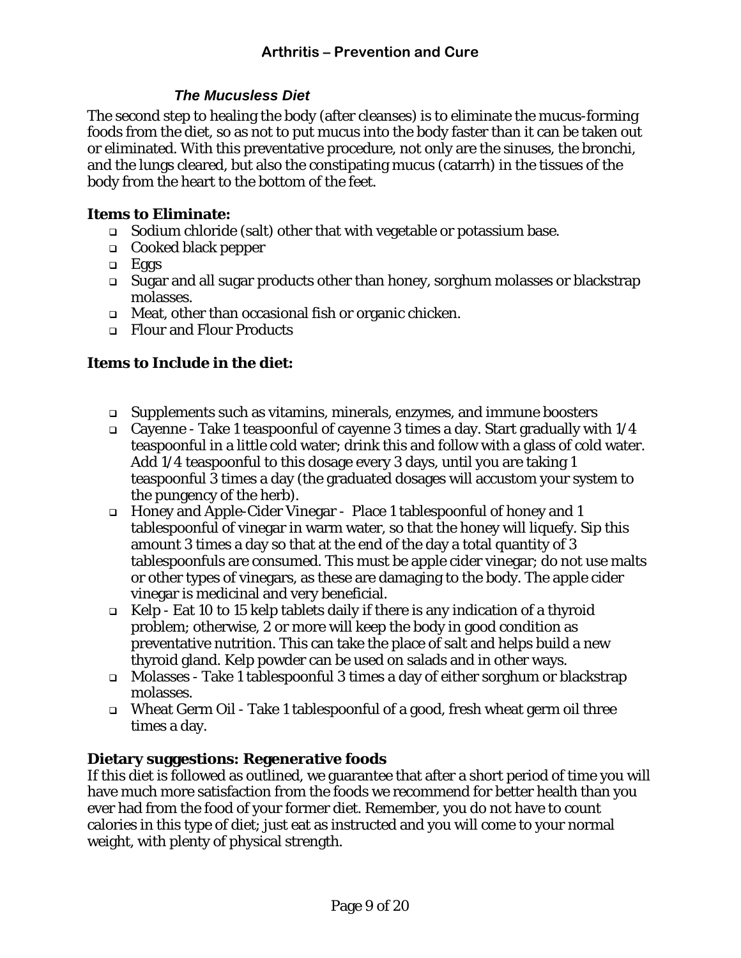#### *The Mucusless Diet*

<span id="page-8-0"></span>The second step to healing the body (after cleanses) is to eliminate the mucus-forming foods from the diet, so as not to put mucus into the body faster than it can be taken out or eliminated. With this preventative procedure, not only are the sinuses, the bronchi, and the lungs cleared, but also the constipating mucus (catarrh) in the tissues of the body from the heart to the bottom of the feet.

#### **Items to Eliminate:**

- $\Box$  Sodium chloride (salt) other that with vegetable or potassium base.
- Cooked black pepper
- $\Box$  Eggs
- Sugar and all sugar products other than honey, sorghum molasses or blackstrap molasses.
- Meat, other than occasional fish or organic chicken.
- Flour and Flour Products

#### **Items to Include in the diet:**

- Supplements such as vitamins, minerals, enzymes, and immune boosters
- Gayenne Take 1 teaspoonful of cayenne 3 times a day. Start gradually with  $1/4$ teaspoonful in a little cold water; drink this and follow with a glass of cold water. Add 1/4 teaspoonful to this dosage every 3 days, until you are taking 1 teaspoonful 3 times a day (the graduated dosages will accustom your system to the pungency of the herb).
- Honey and Apple-Cider Vinegar Place 1 tablespoonful of honey and 1 tablespoonful of vinegar in warm water, so that the honey will liquefy. Sip this amount 3 times a day so that at the end of the day a total quantity of 3 tablespoonfuls are consumed. This must be apple cider vinegar; do not use malts or other types of vinegars, as these are damaging to the body. The apple cider vinegar is medicinal and very beneficial.
- Kelp Eat 10 to 15 kelp tablets daily if there is any indication of a thyroid problem; otherwise, 2 or more will keep the body in good condition as preventative nutrition. This can take the place of salt and helps build a new thyroid gland. Kelp powder can be used on salads and in other ways.
- Molasses Take 1 tablespoonful 3 times a day of either sorghum or blackstrap molasses.
- Wheat Germ Oil Take 1 tablespoonful of a good, fresh wheat germ oil three times a day.

#### **Dietary suggestions: Regenerative foods**

If this diet is followed as outlined, we guarantee that after a short period of time you will have much more satisfaction from the foods we recommend for better health than you ever had from the food of your former diet. Remember, you do not have to count calories in this type of diet; just eat as instructed and you will come to your normal weight, with plenty of physical strength.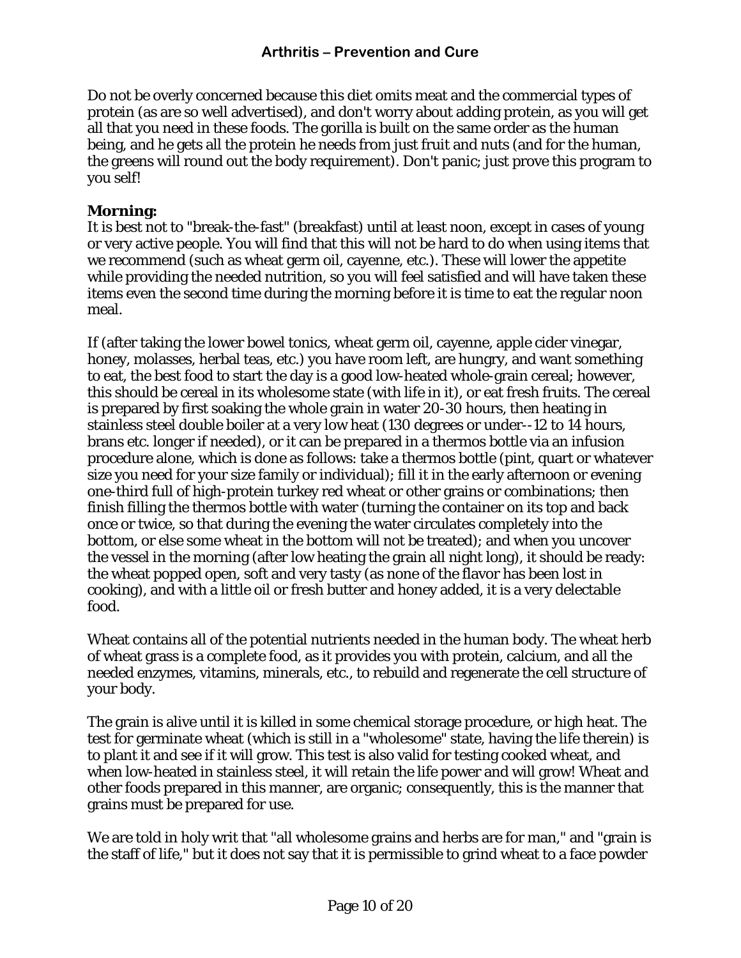Do not be overly concerned because this diet omits meat and the commercial types of protein (as are so well advertised), and don't worry about adding protein, as you will get all that you need in these foods. The gorilla is built on the same order as the human being, and he gets all the protein he needs from just fruit and nuts (and for the human, the greens will round out the body requirement). Don't panic; just prove this program to you self!

#### **Morning:**

It is best not to "break-the-fast" (breakfast) until at least noon, except in cases of young or very active people. You will find that this will not be hard to do when using items that we recommend (such as wheat germ oil, cayenne, etc.). These will lower the appetite while providing the needed nutrition, so you will feel satisfied and will have taken these items even the second time during the morning before it is time to eat the regular noon meal.

If (after taking the lower bowel tonics, wheat germ oil, cayenne, apple cider vinegar, honey, molasses, herbal teas, etc.) you have room left, are hungry, and want something to eat, the best food to start the day is a good low-heated whole-grain cereal; however, this should be cereal in its wholesome state (with life in it), or eat fresh fruits. The cereal is prepared by first soaking the whole grain in water 20-30 hours, then heating in stainless steel double boiler at a very low heat (130 degrees or under--12 to 14 hours, brans etc. longer if needed), or it can be prepared in a thermos bottle via an infusion procedure alone, which is done as follows: take a thermos bottle (pint, quart or whatever size you need for your size family or individual); fill it in the early afternoon or evening one-third full of high-protein turkey red wheat or other grains or combinations; then finish filling the thermos bottle with water (turning the container on its top and back once or twice, so that during the evening the water circulates completely into the bottom, or else some wheat in the bottom will not be treated); and when you uncover the vessel in the morning (after low heating the grain all night long), it should be ready: the wheat popped open, soft and very tasty (as none of the flavor has been lost in cooking), and with a little oil or fresh butter and honey added, it is a very delectable food.

Wheat contains all of the potential nutrients needed in the human body. The wheat herb of wheat grass is a complete food, as it provides you with protein, calcium, and all the needed enzymes, vitamins, minerals, etc., to rebuild and regenerate the cell structure of your body.

The grain is alive until it is killed in some chemical storage procedure, or high heat. The test for germinate wheat (which is still in a "wholesome" state, having the life therein) is to plant it and see if it will grow. This test is also valid for testing cooked wheat, and when low-heated in stainless steel, it will retain the life power and will grow! Wheat and other foods prepared in this manner, are organic; consequently, this is the manner that grains must be prepared for use.

We are told in holy writ that "all wholesome grains and herbs are for man," and "grain is the staff of life," but it does not say that it is permissible to grind wheat to a face powder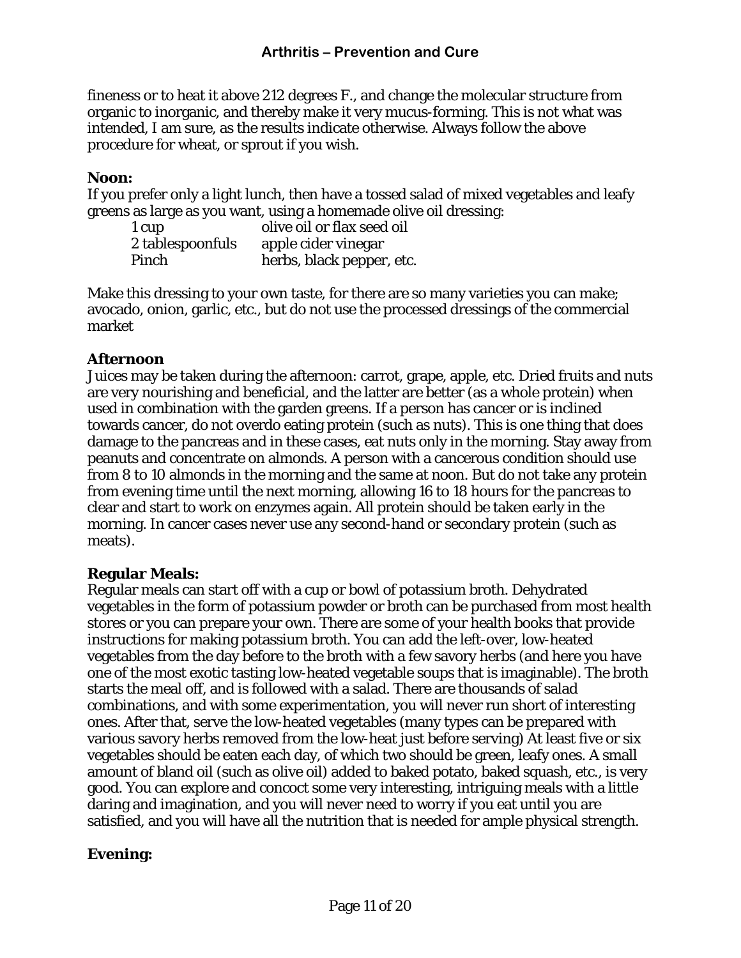fineness or to heat it above 212 degrees F., and change the molecular structure from organic to inorganic, and thereby make it very mucus-forming. This is not what was intended, I am sure, as the results indicate otherwise. Always follow the above procedure for wheat, or sprout if you wish.

#### **Noon:**

If you prefer only a light lunch, then have a tossed salad of mixed vegetables and leafy greens as large as you want, using a homemade olive oil dressing:

| 1 cup            | olive oil or flax seed oil |
|------------------|----------------------------|
| 2 tablespoonfuls | apple cider vinegar        |
| Pinch            | herbs, black pepper, etc.  |

Make this dressing to your own taste, for there are so many varieties you can make; avocado, onion, garlic, etc., but do not use the processed dressings of the commercial market

#### **Afternoon**

Juices may be taken during the afternoon: carrot, grape, apple, etc. Dried fruits and nuts are very nourishing and beneficial, and the latter are better (as a whole protein) when used in combination with the garden greens. If a person has cancer or is inclined towards cancer, do not overdo eating protein (such as nuts). This is one thing that does damage to the pancreas and in these cases, eat nuts only in the morning. Stay away from peanuts and concentrate on almonds. A person with a cancerous condition should use from 8 to 10 almonds in the morning and the same at noon. But do not take any protein from evening time until the next morning, allowing 16 to 18 hours for the pancreas to clear and start to work on enzymes again. All protein should be taken early in the morning. In cancer cases never use any second-hand or secondary protein (such as meats).

#### **Regular Meals:**

Regular meals can start off with a cup or bowl of potassium broth. Dehydrated vegetables in the form of potassium powder or broth can be purchased from most health stores or you can prepare your own. There are some of your health books that provide instructions for making potassium broth. You can add the left-over, low-heated vegetables from the day before to the broth with a few savory herbs (and here you have one of the most exotic tasting low-heated vegetable soups that is imaginable). The broth starts the meal off, and is followed with a salad. There are thousands of salad combinations, and with some experimentation, you will never run short of interesting ones. After that, serve the low-heated vegetables (many types can be prepared with various savory herbs removed from the low-heat just before serving) At least five or six vegetables should be eaten each day, of which two should be green, leafy ones. A small amount of bland oil (such as olive oil) added to baked potato, baked squash, etc., is very good. You can explore and concoct some very interesting, intriguing meals with a little daring and imagination, and you will never need to worry if you eat until you are satisfied, and you will have all the nutrition that is needed for ample physical strength.

#### **Evening:**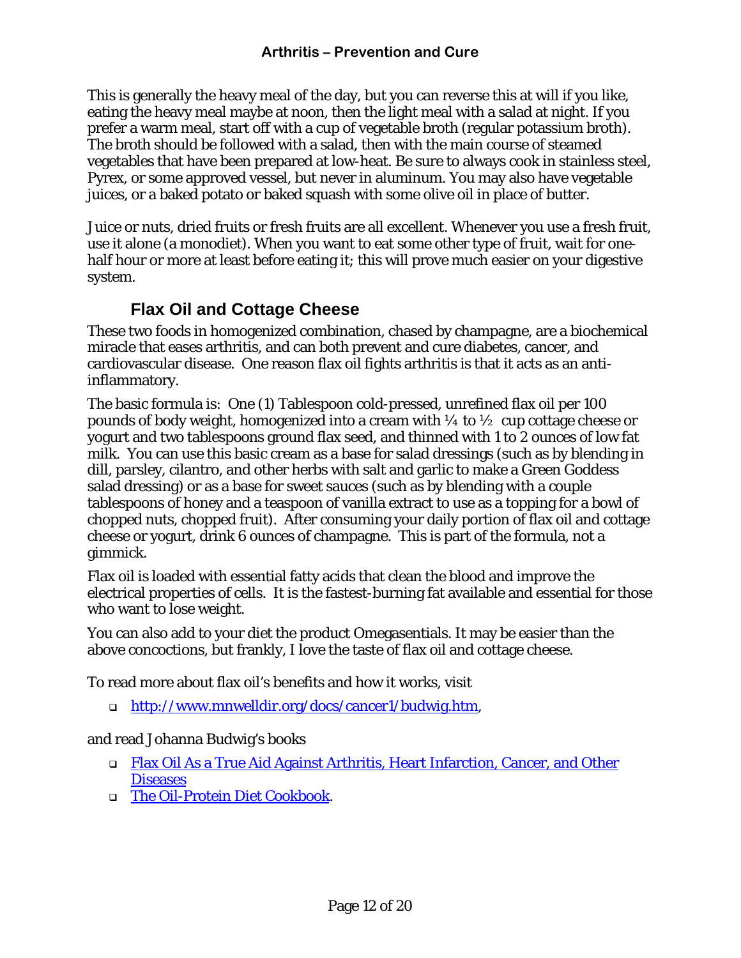<span id="page-11-0"></span>This is generally the heavy meal of the day, but you can reverse this at will if you like, eating the heavy meal maybe at noon, then the light meal with a salad at night. If you prefer a warm meal, start off with a cup of vegetable broth (regular potassium broth). The broth should be followed with a salad, then with the main course of steamed vegetables that have been prepared at low-heat. Be sure to always cook in stainless steel, Pyrex, or some approved vessel, but never in aluminum. You may also have vegetable juices, or a baked potato or baked squash with some olive oil in place of butter.

Juice or nuts, dried fruits or fresh fruits are all excellent. Whenever you use a fresh fruit, use it alone (a monodiet). When you want to eat some other type of fruit, wait for onehalf hour or more at least before eating it; this will prove much easier on your digestive system.

### **Flax Oil and Cottage Cheese**

These two foods in homogenized combination, chased by champagne, are a biochemical miracle that eases arthritis, and can both prevent and cure diabetes, cancer, and cardiovascular disease. One reason flax oil fights arthritis is that it acts as an antiinflammatory.

The basic formula is: One (1) Tablespoon cold-pressed, unrefined flax oil per 100 pounds of body weight, homogenized into a cream with  $\frac{1}{4}$  to  $\frac{1}{2}$  cup cottage cheese or yogurt and two tablespoons ground flax seed, and thinned with 1 to 2 ounces of low fat milk. You can use this basic cream as a base for salad dressings (such as by blending in dill, parsley, cilantro, and other herbs with salt and garlic to make a Green Goddess salad dressing) or as a base for sweet sauces (such as by blending with a couple tablespoons of honey and a teaspoon of vanilla extract to use as a topping for a bowl of chopped nuts, chopped fruit). After consuming your daily portion of flax oil and cottage cheese or yogurt, drink 6 ounces of champagne. This is part of the formula, not a gimmick.

Flax oil is loaded with essential fatty acids that clean the blood and improve the electrical properties of cells. It is the fastest-burning fat available and essential for those who want to lose weight.

You can also add to your diet the product [Omegasentials.](http://www.nurituals.com/) It may be easier than the above concoctions, but frankly, I love the taste of flax oil and cottage cheese.

To read more about flax oil's benefits and how it works, visit

[http://www.mnwelldir.org/docs/cancer1/budwig.htm,](http://www.mnwelldir.org/docs/cancer1/budwig.htm)

#### and read Johanna Budwig's books

- □ Flax Oil As a True Aid Against Arthritis, Heart Infarction, Cancer, and Other **[Diseases](http://www.amazon.com/exec/obidos/ASIN/0969527217/002-2688069-7899232)**
- [The Oil-Protein Diet Cookbook](http://www.alibris.com/search/search.cfm?qwork=4816221&wauth=Budwig%2C%20Johanna&matches=5&qsort=r).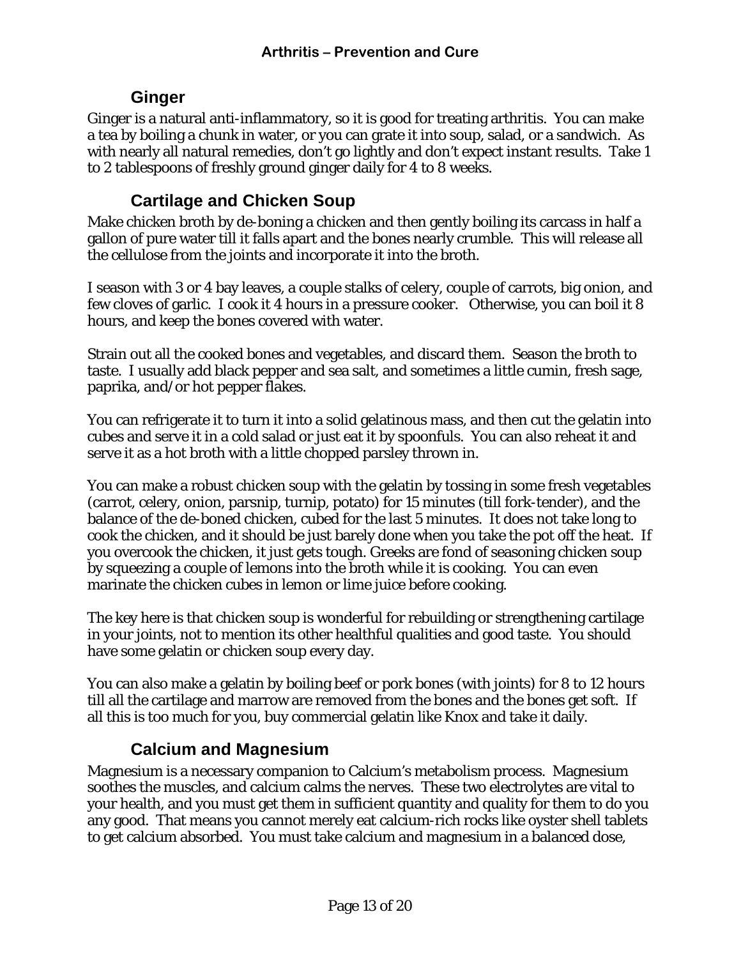### **Ginger**

<span id="page-12-0"></span>Ginger is a natural anti-inflammatory, so it is good for treating arthritis. You can make a tea by boiling a chunk in water, or you can grate it into soup, salad, or a sandwich. As with nearly all natural remedies, don't go lightly and don't expect instant results. Take 1 to 2 tablespoons of freshly ground ginger daily for 4 to 8 weeks.

### **Cartilage and Chicken Soup**

Make chicken broth by de-boning a chicken and then gently boiling its carcass in half a gallon of pure water till it falls apart and the bones nearly crumble. This will release all the cellulose from the joints and incorporate it into the broth.

I season with 3 or 4 bay leaves, a couple stalks of celery, couple of carrots, big onion, and few cloves of garlic. I cook it 4 hours in a pressure cooker. Otherwise, you can boil it 8 hours, and keep the bones covered with water.

Strain out all the cooked bones and vegetables, and discard them. Season the broth to taste. I usually add black pepper and sea salt, and sometimes a little cumin, fresh sage, paprika, and/or hot pepper flakes.

You can refrigerate it to turn it into a solid gelatinous mass, and then cut the gelatin into cubes and serve it in a cold salad or just eat it by spoonfuls. You can also reheat it and serve it as a hot broth with a little chopped parsley thrown in.

You can make a robust chicken soup with the gelatin by tossing in some fresh vegetables (carrot, celery, onion, parsnip, turnip, potato) for 15 minutes (till fork-tender), and the balance of the de-boned chicken, cubed for the last 5 minutes. It does not take long to cook the chicken, and it should be just barely done when you take the pot off the heat. If you overcook the chicken, it just gets tough. Greeks are fond of seasoning chicken soup by squeezing a couple of lemons into the broth while it is cooking. You can even marinate the chicken cubes in lemon or lime juice before cooking.

The key here is that chicken soup is wonderful for rebuilding or strengthening cartilage in your joints, not to mention its other healthful qualities and good taste. You should have some gelatin or chicken soup every day.

You can also make a gelatin by boiling beef or pork bones (with joints) for 8 to 12 hours till all the cartilage and marrow are removed from the bones and the bones get soft. If all this is too much for you, buy commercial gelatin like Knox and take it daily.

### **Calcium and Magnesium**

Magnesium is a necessary companion to Calcium's metabolism process. Magnesium soothes the muscles, and calcium calms the nerves. These two electrolytes are vital to your health, and you must get them in sufficient quantity and quality for them to do you any good. That means you cannot merely eat calcium-rich rocks like oyster shell tablets to get calcium absorbed. You must take calcium and magnesium in a balanced dose,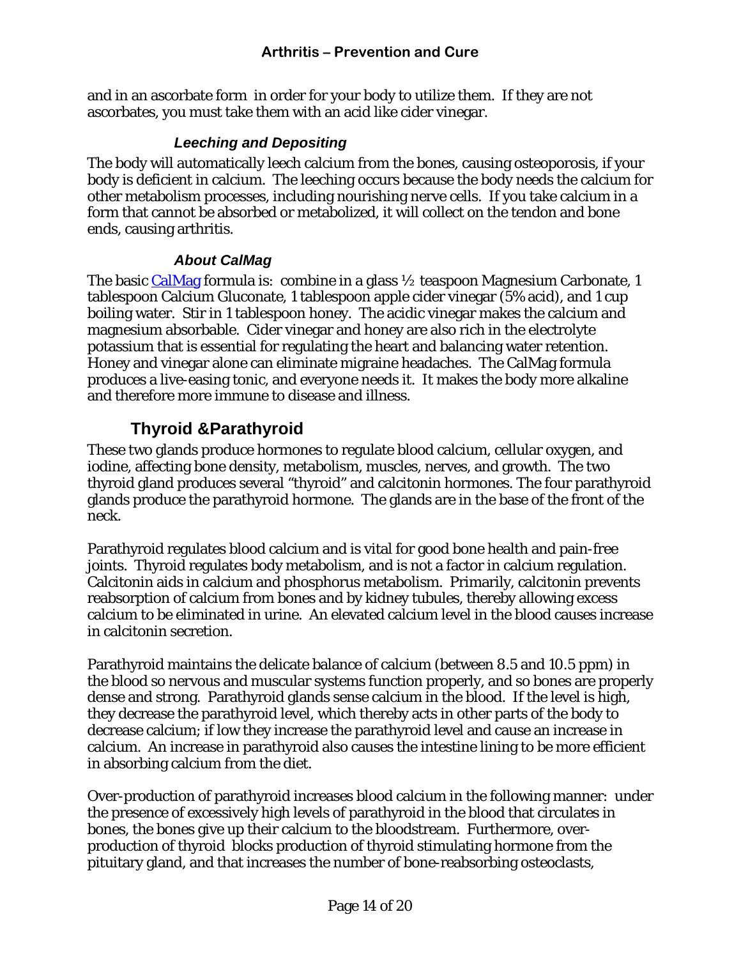<span id="page-13-0"></span>and in an ascorbate form in order for your body to utilize them. If they are not ascorbates, you must take them with an acid like cider vinegar.

#### *Leeching and Depositing*

The body will automatically leech calcium from the bones, causing osteoporosis, if your body is deficient in calcium. The leeching occurs because the body needs the calcium for other metabolism processes, including nourishing nerve cells. If you take calcium in a form that cannot be absorbed or metabolized, it will collect on the tendon and bone ends, causing arthritis.

#### *About CalMag*

The basic [CalMag](http://bobhurt.com/calmag.htm) formula is: combine in a glass  $\frac{1}{2}$  teaspoon Magnesium Carbonate, 1 tablespoon Calcium Gluconate, 1 tablespoon apple cider vinegar (5% acid), and 1 cup boiling water. Stir in 1 tablespoon honey. The acidic vinegar makes the calcium and magnesium absorbable. Cider vinegar and honey are also rich in the electrolyte potassium that is essential for regulating the heart and balancing water retention. Honey and vinegar alone can eliminate migraine headaches. The CalMag formula produces a live-easing tonic, and everyone needs it. It makes the body more alkaline and therefore more immune to disease and illness.

### **Thyroid &Parathyroid**

These two glands produce hormones to regulate blood calcium, cellular oxygen, and iodine, affecting bone density, metabolism, muscles, nerves, and growth. The two thyroid gland produces several "thyroid" and calcitonin hormones. The four parathyroid glands produce the parathyroid hormone. The glands are in the base of the front of the neck.

Parathyroid regulates blood calcium and is vital for good bone health and pain-free joints. Thyroid regulates body metabolism, and is not a factor in calcium regulation. Calcitonin aids in calcium and phosphorus metabolism. Primarily, calcitonin prevents reabsorption of calcium from bones and by kidney tubules, thereby allowing excess calcium to be eliminated in urine. An elevated calcium level in the blood causes increase in calcitonin secretion.

Parathyroid maintains the delicate balance of calcium (between 8.5 and 10.5 ppm) in the blood so nervous and muscular systems function properly, and so bones are properly dense and strong. Parathyroid glands sense calcium in the blood. If the level is high, they decrease the parathyroid level, which thereby acts in other parts of the body to decrease calcium; if low they increase the parathyroid level and cause an increase in calcium. An increase in parathyroid also causes the intestine lining to be more efficient in absorbing calcium from the diet.

Over-production of parathyroid increases blood calcium in the following manner: under the presence of excessively high levels of parathyroid in the blood that circulates in bones, the bones give up their calcium to the bloodstream. Furthermore, overproduction of thyroid blocks production of thyroid stimulating hormone from the pituitary gland, and that increases the number of bone-reabsorbing osteoclasts,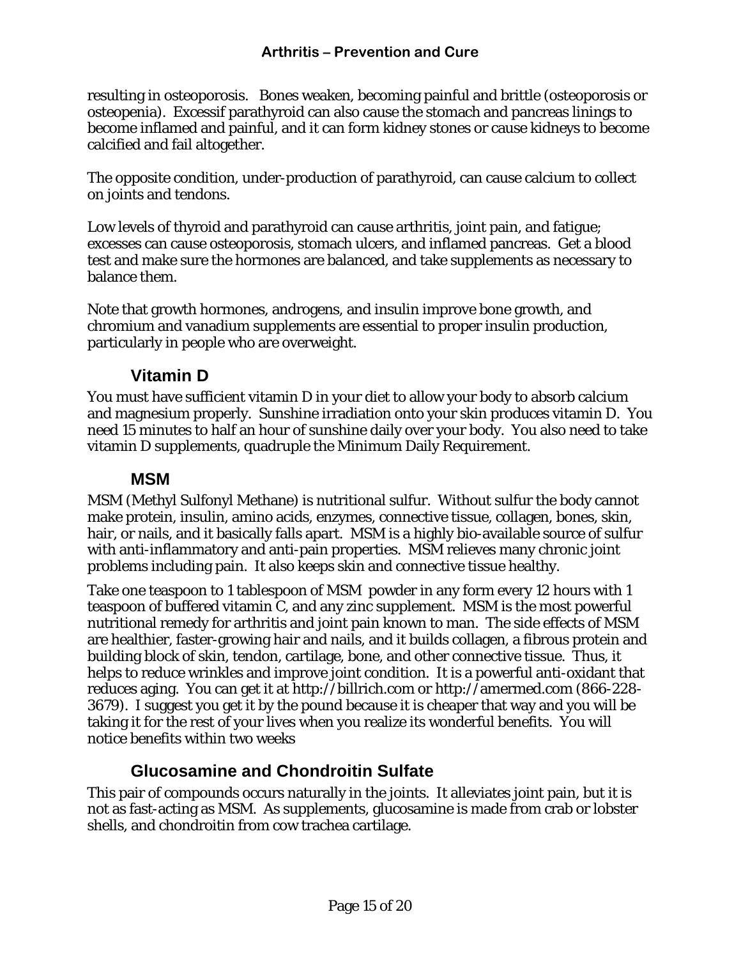<span id="page-14-0"></span>resulting in osteoporosis. Bones weaken, becoming painful and brittle (osteoporosis or osteopenia). Excessif parathyroid can also cause the stomach and pancreas linings to become inflamed and painful, and it can form kidney stones or cause kidneys to become calcified and fail altogether.

The opposite condition, under-production of parathyroid, can cause calcium to collect on joints and tendons.

Low levels of thyroid and parathyroid can cause arthritis, joint pain, and fatigue; excesses can cause osteoporosis, stomach ulcers, and inflamed pancreas. Get a blood test and make sure the hormones are balanced, and take supplements as necessary to balance them.

Note that growth hormones, androgens, and insulin improve bone growth, and chromium and vanadium supplements are essential to proper insulin production, particularly in people who are overweight.

### **Vitamin D**

You must have sufficient vitamin D in your diet to allow your body to absorb calcium and magnesium properly. Sunshine irradiation onto your skin produces vitamin D. You need 15 minutes to half an hour of sunshine daily over your body. You also need to take vitamin D supplements, quadruple the Minimum Daily Requirement.

### **MSM**

MSM (Methyl Sulfonyl Methane) is nutritional sulfur. Without sulfur the body cannot make protein, insulin, amino acids, enzymes, connective tissue, collagen, bones, skin, hair, or nails, and it basically falls apart. MSM is a highly bio-available source of sulfur with anti-inflammatory and anti-pain properties. MSM relieves many chronic joint problems including pain. It also keeps skin and connective tissue healthy.

Take one teaspoon to 1 tablespoon of MSM powder in any form every 12 hours with 1 teaspoon of buffered vitamin C, and any zinc supplement. MSM is the most powerful nutritional remedy for arthritis and joint pain known to man. The side effects of MSM are healthier, faster-growing hair and nails, and it builds collagen, a fibrous protein and building block of skin, tendon, cartilage, bone, and other connective tissue. Thus, it helps to reduce wrinkles and improve joint condition. It is a powerful anti-oxidant that reduces aging. You can get it at [http://billrich.com](http://billrich.com/) or [http://amermed.com](http://amermed.com/) (866-228-3679). I suggest you get it by the pound because it is cheaper that way and you will be taking it for the rest of your lives when you realize its wonderful benefits. You will notice benefits within two weeks

### **Glucosamine and Chondroitin Sulfate**

This pair of compounds occurs naturally in the joints. It alleviates joint pain, but it is not as fast-acting as MSM. As supplements, glucosamine is made from crab or lobster shells, and chondroitin from cow trachea cartilage.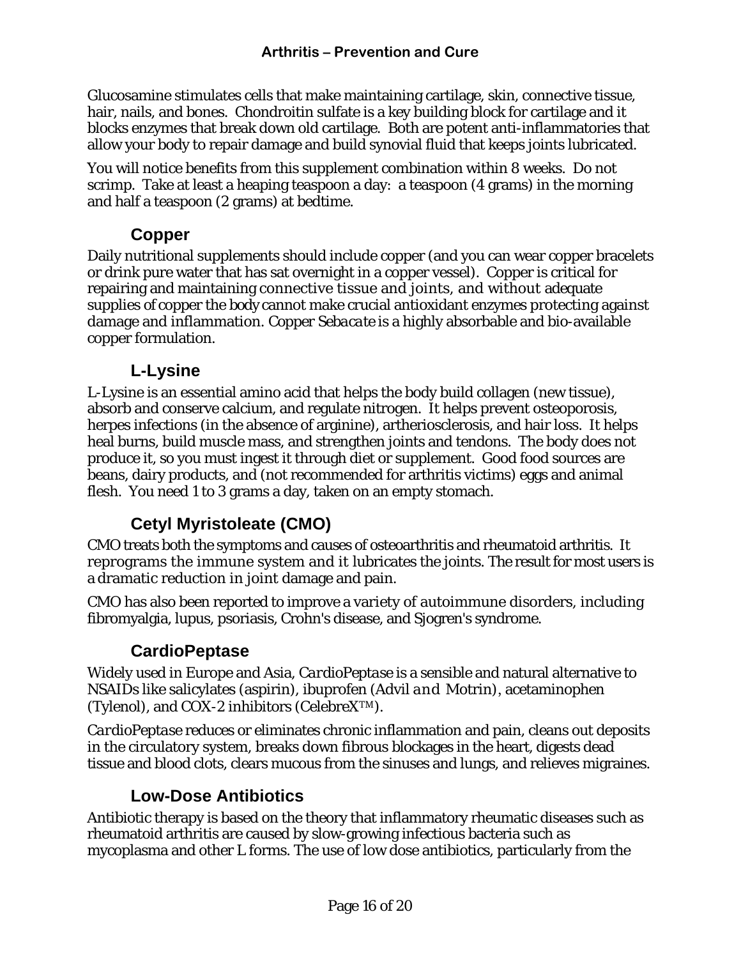<span id="page-15-0"></span>Glucosamine stimulates cells that make maintaining cartilage, skin, connective tissue, hair, nails, and bones. Chondroitin sulfate is a key building block for cartilage and it blocks enzymes that break down old cartilage. Both are potent anti-inflammatories that allow your body to repair damage and build synovial fluid that keeps joints lubricated.

You will notice benefits from this supplement combination within 8 weeks. Do not scrimp. Take at least a heaping teaspoon a day: a teaspoon (4 grams) in the morning and half a teaspoon (2 grams) at bedtime.

### **Copper**

Daily nutritional supplements should include copper (and you can wear copper bracelets or drink pure water that has sat overnight in a copper vessel). Copper is critical for repairing and maintaining connective tissue and joints, and without adequate supplies of copper the body cannot make crucial antioxidant enzymes protecting against damage and inflammation. *Copper Sebacate* is a highly absorbable and bio-available copper formulation.

### **L-Lysine**

L-Lysine is an essential amino acid that helps the body build collagen (new tissue), absorb and conserve calcium, and regulate nitrogen. It helps prevent osteoporosis, herpes infections (in the absence of arginine), artheriosclerosis, and hair loss. It helps heal burns, build muscle mass, and strengthen joints and tendons. The body does not produce it, so you must ingest it through diet or supplement. Good food sources are beans, dairy products, and (not recommended for arthritis victims) eggs and animal flesh. You need 1 to 3 grams a day, taken on an empty stomach.

## **Cetyl Myristoleate (CMO)**

CMO treats both the symptoms and causes of osteoarthritis and rheumatoid arthritis. It reprograms the immune system and it lubricates the joints. The result for most users is a dramatic reduction in joint damage and pain.

CMO has also been reported to improve a variety of autoimmune disorders, including fibromyalgia, lupus, psoriasis, Crohn's disease, and Sjogren's syndrome.

### **CardioPeptase**

Widely used in Europe and Asia, *CardioPeptase* is a sensible and natural alternative to NSAIDs like salicylates (aspirin), ibuprofen (Advil and Motrin), acetaminophen (Tylenol), and COX-2 inhibitors (CelebreXTM).

*CardioPeptase* reduces or eliminates chronic inflammation and pain, cleans out deposits in the circulatory system, breaks down fibrous blockages in the heart, digests dead tissue and blood clots, clears mucous from the sinuses and lungs, and relieves migraines.

### **Low-Dose Antibiotics**

Antibiotic therapy is based on the theory that inflammatory rheumatic diseases such as rheumatoid arthritis are caused by slow-growing infectious bacteria such as mycoplasma and other L forms. The use of low dose antibiotics, particularly from the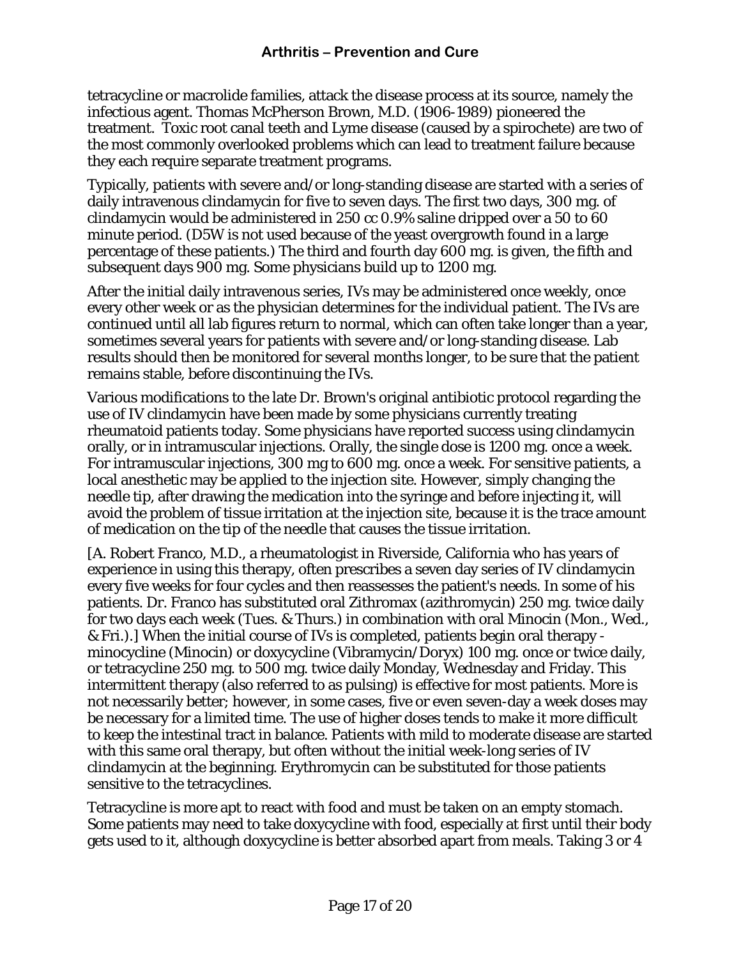tetracycline or macrolide families, attack the disease process at its source, namely the infectious agent. Thomas McPherson Brown, M.D. (1906-1989) pioneered the treatment. Toxic root canal teeth and Lyme disease (caused by a spirochete) are two of the most commonly overlooked problems which can lead to treatment failure because they each require separate treatment programs.

Typically, patients with severe and/or long-standing disease are started with a series of daily intravenous clindamycin for five to seven days. The first two days, 300 mg. of clindamycin would be administered in 250 cc 0.9% saline dripped over a 50 to 60 minute period. (D5W is not used because of the yeast overgrowth found in a large percentage of these patients.) The third and fourth day 600 mg. is given, the fifth and subsequent days 900 mg. Some physicians build up to 1200 mg.

After the initial daily intravenous series, IVs may be administered once weekly, once every other week or as the physician determines for the individual patient. The IVs are continued until all lab figures return to normal, which can often take longer than a year, sometimes several years for patients with severe and/or long-standing disease. Lab results should then be monitored for several months longer, to be sure that the patient remains stable, before discontinuing the IVs.

Various modifications to the late Dr. Brown's original antibiotic protocol regarding the use of IV clindamycin have been made by some physicians currently treating rheumatoid patients today. Some physicians have reported success using clindamycin orally, or in intramuscular injections. Orally, the single dose is 1200 mg. once a week. For intramuscular injections, 300 mg to 600 mg. once a week. For sensitive patients, a local anesthetic may be applied to the injection site. However, simply changing the needle tip, after drawing the medication into the syringe and before injecting it, will avoid the problem of tissue irritation at the injection site, because it is the trace amount of medication on the tip of the needle that causes the tissue irritation.

[A. Robert Franco, M.D., a rheumatologist in Riverside, California who has years of experience in using this therapy, often prescribes a seven day series of IV clindamycin every five weeks for four cycles and then reassesses the patient's needs. In some of his patients. Dr. Franco has substituted oral Zithromax (azithromycin) 250 mg. twice daily for two days each week (Tues. & Thurs.) in combination with oral Minocin (Mon., Wed., & Fri.).] When the initial course of IVs is completed, patients begin oral therapy minocycline (Minocin) or doxycycline (Vibramycin/Doryx) 100 mg. once or twice daily, or tetracycline 250 mg. to 500 mg. twice daily Monday, Wednesday and Friday. This intermittent therapy (also referred to as pulsing) is effective for most patients. More is not necessarily better; however, in some cases, five or even seven-day a week doses may be necessary for a limited time. The use of higher doses tends to make it more difficult to keep the intestinal tract in balance. Patients with mild to moderate disease are started with this same oral therapy, but often without the initial week-long series of IV clindamycin at the beginning. Erythromycin can be substituted for those patients sensitive to the tetracyclines.

Tetracycline is more apt to react with food and must be taken on an empty stomach. Some patients may need to take doxycycline with food, especially at first until their body gets used to it, although doxycycline is better absorbed apart from meals. Taking 3 or 4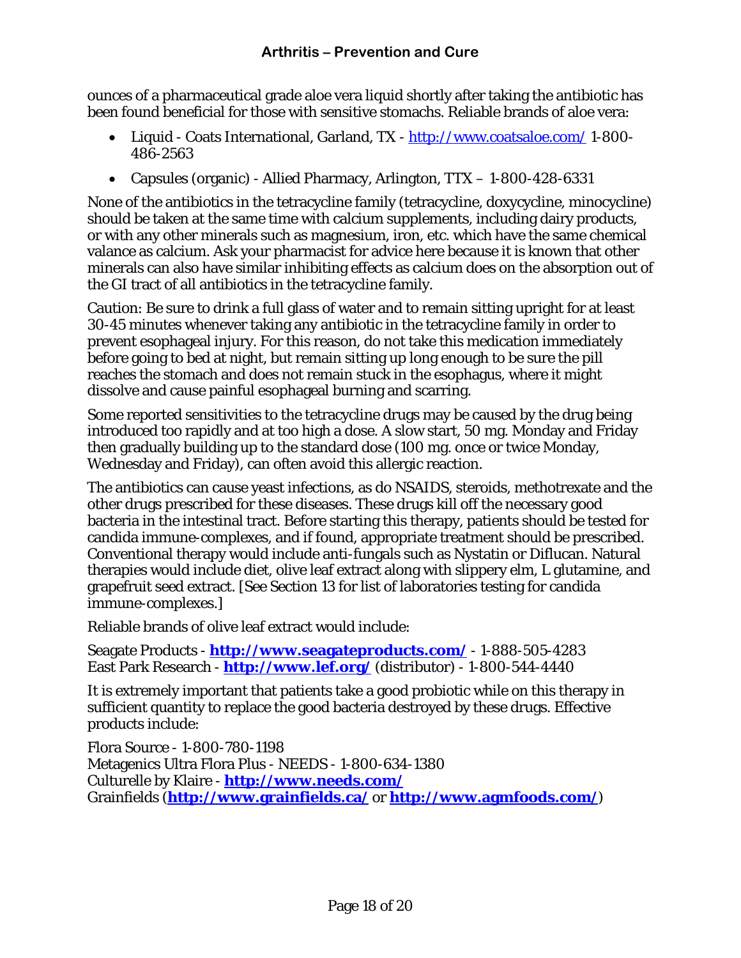ounces of a pharmaceutical grade aloe vera liquid shortly after taking the antibiotic has been found beneficial for those with sensitive stomachs. Reliable brands of aloe vera:

- Liquid Coats International, Garland, TX <http://www.coatsaloe.com/>1-800- 486-2563
- Capsules (organic) Allied Pharmacy, Arlington, TTX 1-800-428-6331

None of the antibiotics in the tetracycline family (tetracycline, doxycycline, minocycline) should be taken at the same time with calcium supplements, including dairy products, or with any other minerals such as magnesium, iron, etc. which have the same chemical valance as calcium. Ask your pharmacist for advice here because it is known that other minerals can also have similar inhibiting effects as calcium does on the absorption out of the GI tract of all antibiotics in the tetracycline family.

Caution: Be sure to drink a full glass of water and to remain sitting upright for at least 30-45 minutes whenever taking any antibiotic in the tetracycline family in order to prevent esophageal injury. For this reason, do not take this medication immediately before going to bed at night, but remain sitting up long enough to be sure the pill reaches the stomach and does not remain stuck in the esophagus, where it might dissolve and cause painful esophageal burning and scarring.

Some reported sensitivities to the tetracycline drugs may be caused by the drug being introduced too rapidly and at too high a dose. A slow start, 50 mg. Monday and Friday then gradually building up to the standard dose (100 mg. once or twice Monday, Wednesday and Friday), can often avoid this allergic reaction.

The antibiotics can cause yeast infections, as do NSAIDS, steroids, methotrexate and the other drugs prescribed for these diseases. These drugs kill off the necessary good bacteria in the intestinal tract. Before starting this therapy, patients should be tested for candida immune-complexes, and if found, appropriate treatment should be prescribed. Conventional therapy would include anti-fungals such as Nystatin or Diflucan. Natural therapies would include diet, olive leaf extract along with slippery elm, L glutamine, and grapefruit seed extract. [See Section 13 for list of laboratories testing for candida immune-complexes.]

Reliable brands of olive leaf extract would include:

Seagate Products - **<http://www.seagateproducts.com/>** - 1-888-505-4283 East Park Research - **<http://www.lef.org/>** (distributor) - 1-800-544-4440

It is extremely important that patients take a good probiotic while on this therapy in sufficient quantity to replace the good bacteria destroyed by these drugs. Effective products include:

Flora Source - 1-800-780-1198 Metagenics Ultra Flora Plus - NEEDS - 1-800-634-1380 Culturelle by Klaire - **<http://www.needs.com/>** Grainfields (**<http://www.grainfields.ca/>** or **<http://www.agmfoods.com/>**)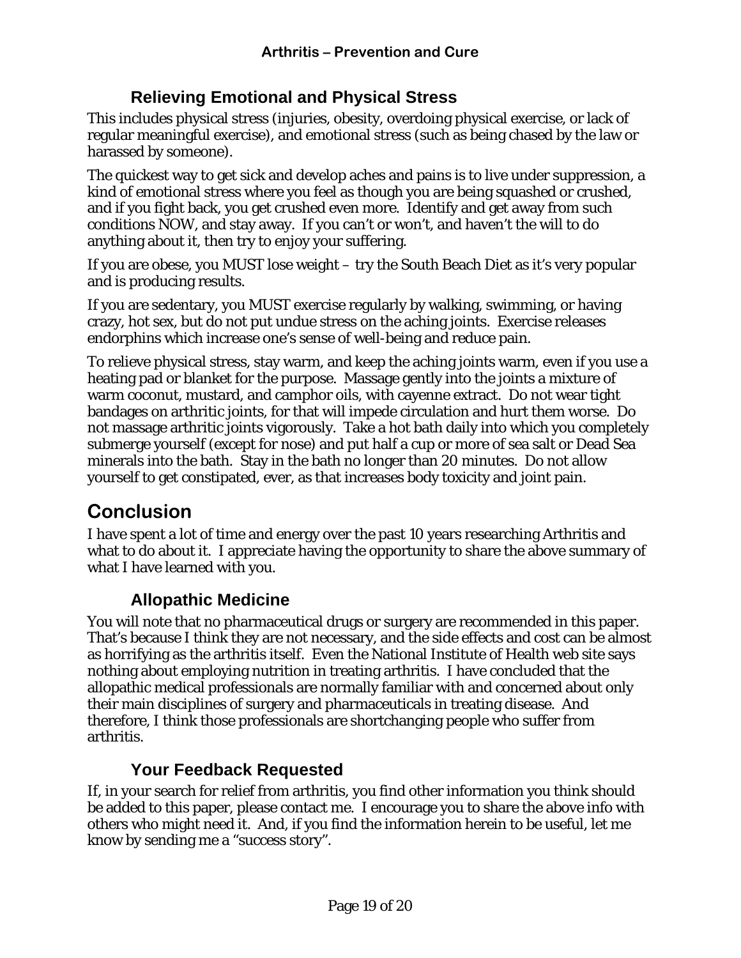### **Relieving Emotional and Physical Stress**

<span id="page-18-0"></span>This includes physical stress (injuries, obesity, overdoing physical exercise, or lack of regular meaningful exercise), and emotional stress (such as being chased by the law or harassed by someone).

The quickest way to get sick and develop aches and pains is to live under suppression, a kind of emotional stress where you feel as though you are being squashed or crushed, and if you fight back, you get crushed even more. Identify and get away from such conditions NOW, and stay away. If you can't or won't, and haven't the will to do anything about it, then try to enjoy your suffering.

If you are obese, you MUST lose weight – try the South Beach Diet as it's very popular and is producing results.

If you are sedentary, you MUST exercise regularly by walking, swimming, or having crazy, hot sex, but do not put undue stress on the aching joints. Exercise releases endorphins which increase one's sense of well-being and reduce pain.

To relieve physical stress, stay warm, and keep the aching joints warm, even if you use a heating pad or blanket for the purpose. Massage gently into the joints a mixture of warm coconut, mustard, and camphor oils, with cayenne extract. Do not wear tight bandages on arthritic joints, for that will impede circulation and hurt them worse. Do not massage arthritic joints vigorously. Take a hot bath daily into which you completely submerge yourself (except for nose) and put half a cup or more of sea salt or Dead Sea minerals into the bath. Stay in the bath no longer than 20 minutes. Do not allow yourself to get constipated, ever, as that increases body toxicity and joint pain.

## **Conclusion**

I have spent a lot of time and energy over the past 10 years researching Arthritis and what to do about it. I appreciate having the opportunity to share the above summary of what I have learned with you.

### **Allopathic Medicine**

You will note that no pharmaceutical drugs or surgery are recommended in this paper. That's because I think they are not necessary, and the side effects and cost can be almost as horrifying as the arthritis itself. Even the National Institute of Health web site says nothing about employing nutrition in treating arthritis. I have concluded that the allopathic medical professionals are normally familiar with and concerned about only their main disciplines of surgery and pharmaceuticals in treating disease. And therefore, I think those professionals are shortchanging people who suffer from arthritis.

### **Your Feedback Requested**

If, in your search for relief from arthritis, you find other information you think should be added to this paper, please contact me. I encourage you to share the above info with others who might need it. And, if you find the information herein to be useful, let me know by sending me a "success story".